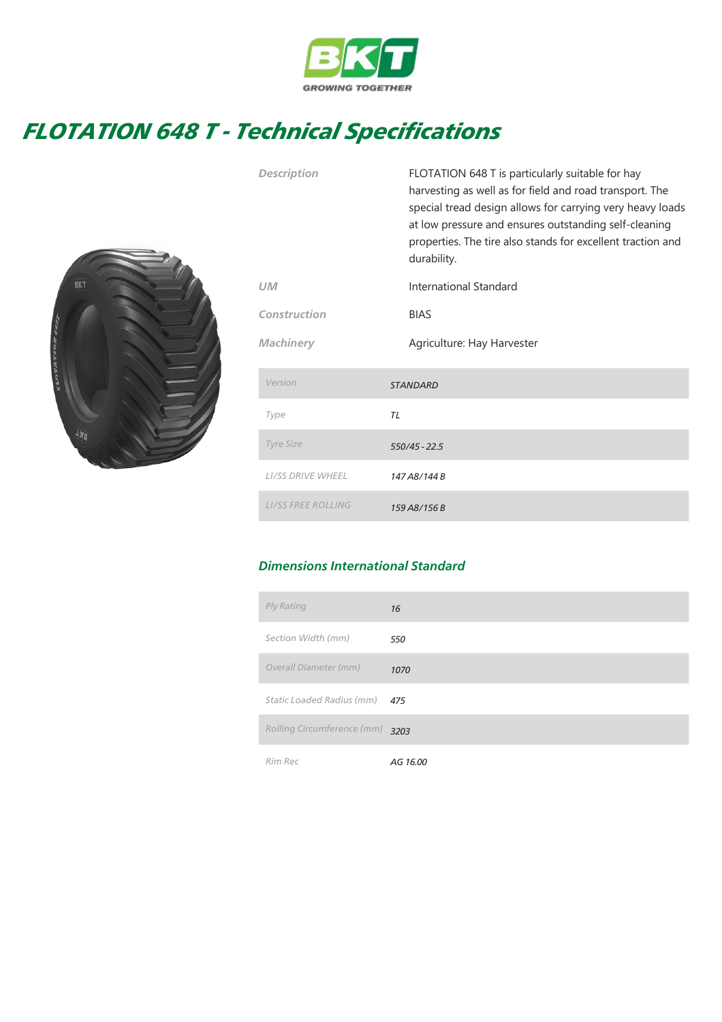

## FLOTATION 648 T - Technical Specifications



|                           | special tread design allows for carrying very heavy loads<br>at low pressure and ensures outstanding self-cleaning<br>properties. The tire also stands for excellent traction and<br>durability. |  |
|---------------------------|--------------------------------------------------------------------------------------------------------------------------------------------------------------------------------------------------|--|
| UM                        | International Standard                                                                                                                                                                           |  |
| Construction              | <b>BIAS</b>                                                                                                                                                                                      |  |
| <b>Machinery</b>          | Agriculture: Hay Harvester                                                                                                                                                                       |  |
| Version                   | <b>STANDARD</b>                                                                                                                                                                                  |  |
| Type                      | TL                                                                                                                                                                                               |  |
| <b>Tyre Size</b>          | $550/45 - 22.5$                                                                                                                                                                                  |  |
| <b>LI/SS DRIVE WHEEL</b>  | 147 A8/144 B                                                                                                                                                                                     |  |
| <b>LI/SS FREE ROLLING</b> | 159 A8/156 B                                                                                                                                                                                     |  |

Description FLOTATION 648 T is particularly suitable for hay

harvesting as well as for field and road transport. The

## Dimensions International Standard

| Ply Rating                 | 16       |
|----------------------------|----------|
| Section Width (mm)         | 550      |
| Overall Diameter (mm)      | 1070     |
| Static Loaded Radius (mm)  | 475      |
| Rolling Circumference (mm) | 3203     |
| Rim Rec                    | AG 16.00 |